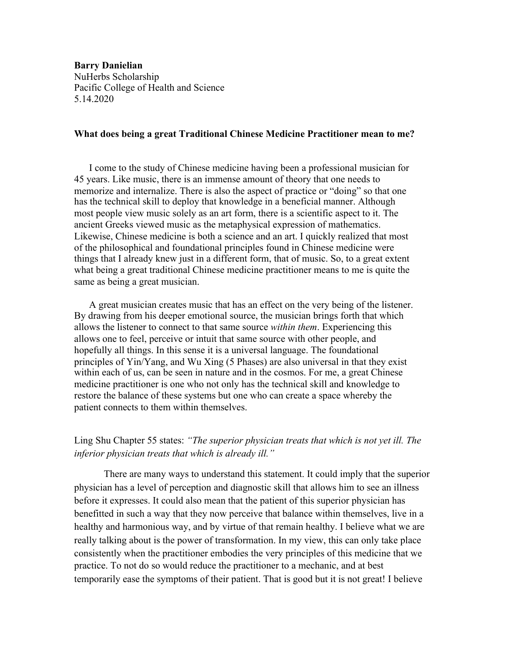**Barry Danielian** NuHerbs Scholarship Pacific College of Health and Science 5.14.2020

## **What does being a great Traditional Chinese Medicine Practitioner mean to me?**

I come to the study of Chinese medicine having been a professional musician for 45 years. Like music, there is an immense amount of theory that one needs to memorize and internalize. There is also the aspect of practice or "doing" so that one has the technical skill to deploy that knowledge in a beneficial manner. Although most people view music solely as an art form, there is a scientific aspect to it. The ancient Greeks viewed music as the metaphysical expression of mathematics. Likewise, Chinese medicine is both a science and an art. I quickly realized that most of the philosophical and foundational principles found in Chinese medicine were things that I already knew just in a different form, that of music. So, to a great extent what being a great traditional Chinese medicine practitioner means to me is quite the same as being a great musician.

A great musician creates music that has an effect on the very being of the listener. By drawing from his deeper emotional source, the musician brings forth that which allows the listener to connect to that same source *within them*. Experiencing this allows one to feel, perceive or intuit that same source with other people, and hopefully all things. In this sense it is a universal language. The foundational principles of Yin/Yang, and Wu Xing (5 Phases) are also universal in that they exist within each of us, can be seen in nature and in the cosmos. For me, a great Chinese medicine practitioner is one who not only has the technical skill and knowledge to restore the balance of these systems but one who can create a space whereby the patient connects to them within themselves.

## Ling Shu Chapter 55 states: *"The superior physician treats that which is not yet ill. The inferior physician treats that which is already ill."*

There are many ways to understand this statement. It could imply that the superior physician has a level of perception and diagnostic skill that allows him to see an illness before it expresses. It could also mean that the patient of this superior physician has benefitted in such a way that they now perceive that balance within themselves, live in a healthy and harmonious way, and by virtue of that remain healthy. I believe what we are really talking about is the power of transformation. In my view, this can only take place consistently when the practitioner embodies the very principles of this medicine that we practice. To not do so would reduce the practitioner to a mechanic, and at best temporarily ease the symptoms of their patient. That is good but it is not great! I believe